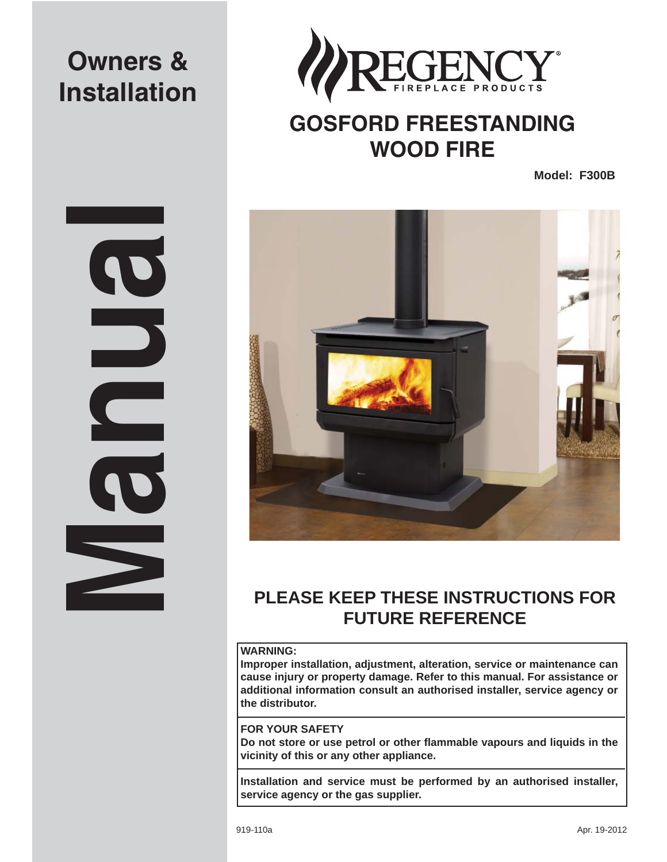# **Owners & Installation**



# **GOSFORD FREESTANDING WOOD FIRE**

**Model: F300B**



## **PLEASE KEEP THESE INSTRUCTIONS FOR FUTURE REFERENCE**

#### **WARNING:**

**Improper installation, adjustment, alteration, service or maintenance can cause injury or property damage. Refer to this manual. For assistance or additional information consult an authorised installer, service agency or the distributor.**

#### **FOR YOUR SAFETY**

**Do not store or use petrol or other fl ammable vapours and liquids in the vicinity of this or any other appliance.**

**Installation and service must be performed by an authorised installer, service agency or the gas supplier.**

**Manual**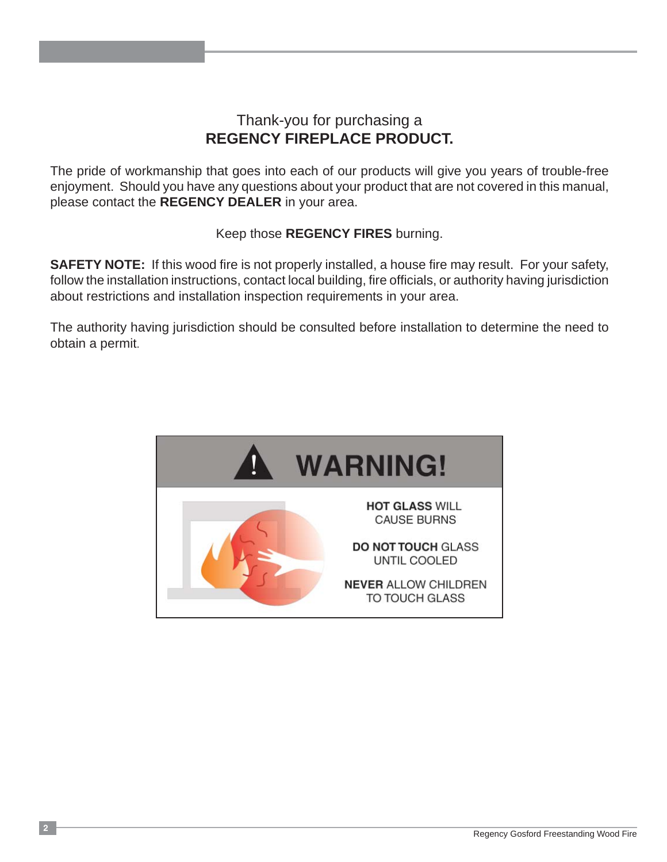### Thank-you for purchasing a **REGENCY FIREPLACE PRODUCT.**

The pride of workmanship that goes into each of our products will give you years of trouble-free enjoyment. Should you have any questions about your product that are not covered in this manual, please contact the **REGENCY DEALER** in your area.

### Keep those **REGENCY FIRES** burning.

**SAFETY NOTE:** If this wood fire is not properly installed, a house fire may result. For your safety, follow the installation instructions, contact local building, fire officials, or authority having jurisdiction about restrictions and installation inspection requirements in your area.

The authority having jurisdiction should be consulted before installation to determine the need to obtain a permit.

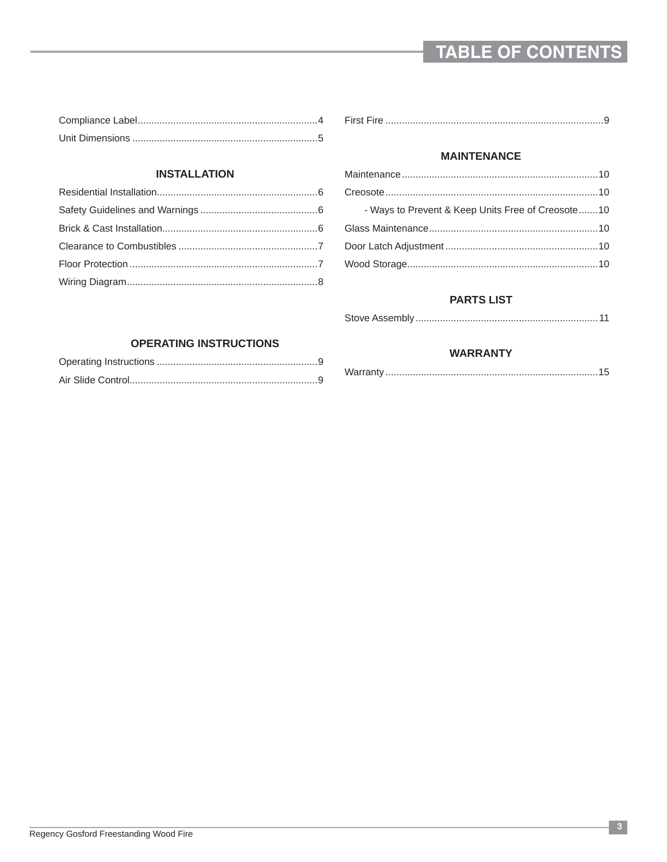# TABLE OF CONTENTS

### **INSTALLATION**

#### **MAINTENANCE**

| - Ways to Prevent & Keep Units Free of Creosote10 |
|---------------------------------------------------|
|                                                   |
|                                                   |
|                                                   |

#### **PARTS LIST**

#### **WARRANTY**

**OPERATING INSTRUCTIONS** 

|--|--|--|--|--|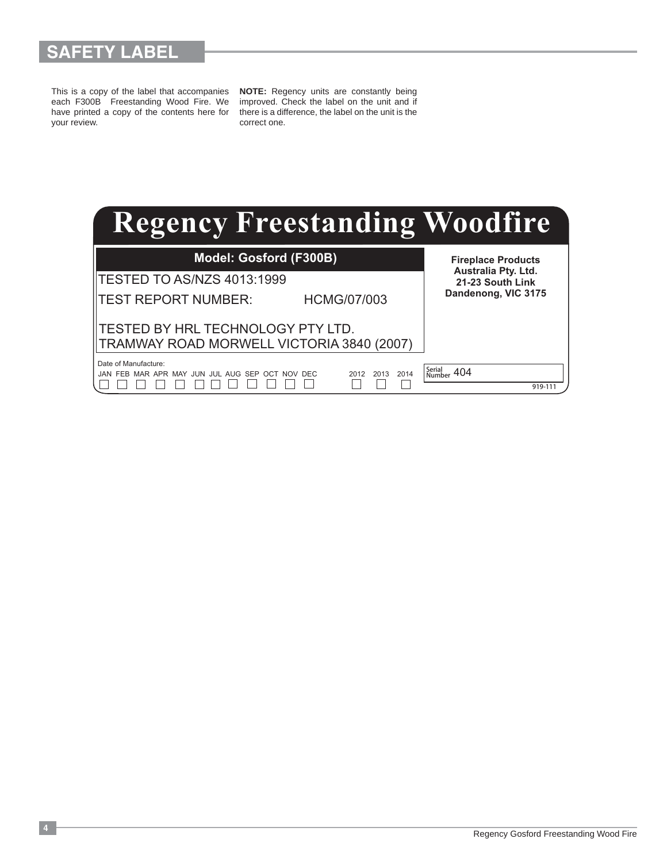This is a copy of the label that accompanies each F300B Freestanding Wood Fire. We have printed a copy of the contents here for your review.

**NOTE:** Regency units are constantly being improved. Check the label on the unit and if there is a difference, the label on the unit is the correct one.

# **Regency Freestanding Woodfire**

HCMG/07/003

 $\Box$ 

 $\Box$ 

#### **Model: Gosford (F300B)**

**Australia Pty. Ltd. 21-23 South Link Dandenong, VIC 3175**

Serial Number 404

**Fireplace Products**

919-111

TESTED BY HRL TECHNOLOGY PTY LTD. TRAMWAY ROAD MORWELL VICTORIA 3840 (2007)

JAN FEB MAR APR MAY JUN JUL AUG SEP OCT NOV DEC 2012 2013 2014 Date of Manufacture: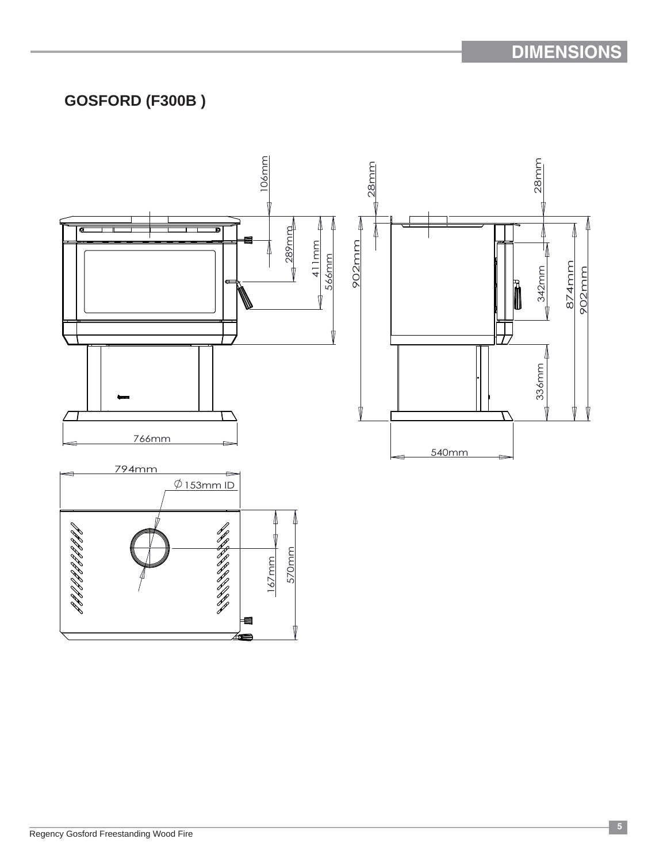### **GOSFORD (F300B )**

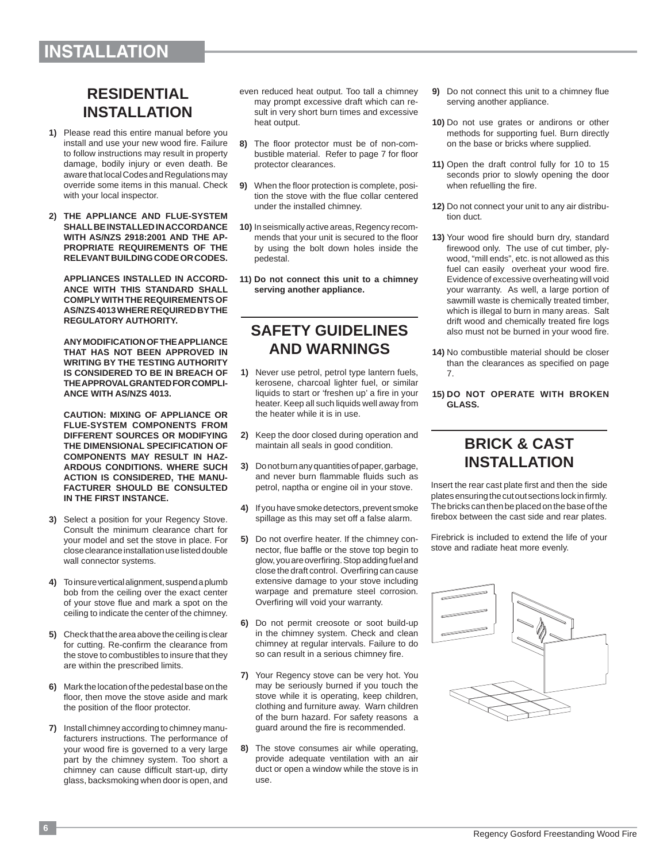### **RESIDENTIAL INSTALLATION**

- **1)** Please read this entire manual before you install and use your new wood fire. Failure to follow instructions may result in property damage, bodily injury or even death. Be aware that local Codes and Regulations may override some items in this manual. Check with your local inspector.
- **2) THE APPLIANCE AND FLUE-SYSTEM SHALL BE INSTALLED IN ACCORDANCE WITH AS/NZS 2918:2001 AND THE AP-PROPRIATE REQUIREMENTS OF THE RELEVANT BUILDING CODE OR CODES.**

**APPLIANCES INSTALLED IN ACCORD-ANCE WITH THIS STANDARD SHALL COMPLY WITH THE REQUIREMENTS OF AS/NZS 4013 WHERE REQUIRED BY THE REGULATORY AUTHORITY.** 

**ANY MODIFICATION OF THE APPLIANCE THAT HAS NOT BEEN APPROVED IN WRITING BY THE TESTING AUTHORITY IS CONSIDERED TO BE IN BREACH OF THE APPROVAL GRANTED FOR COMPLI-ANCE WITH AS/NZS 4013.**

**CAUTION: MIXING OF APPLIANCE OR FLUE-SYSTEM COMPONENTS FROM DIFFERENT SOURCES OR MODIFYING THE DIMENSIONAL SPECIFICATION OF COMPONENTS MAY RESULT IN HAZ-ARDOUS CONDITIONS. WHERE SUCH ACTION IS CONSIDERED, THE MANU-FACTURER SHOULD BE CONSULTED IN THE FIRST INSTANCE.**

- **3)** Select a position for your Regency Stove. Consult the minimum clearance chart for your model and set the stove in place. For close clearance installation use listed double wall connector systems.
- **4)** To insure vertical alignment, suspend a plumb bob from the ceiling over the exact center of your stove flue and mark a spot on the ceiling to indicate the center of the chimney.
- **5)** Check that the area above the ceiling is clear for cutting. Re-confirm the clearance from the stove to combustibles to insure that they are within the prescribed limits.
- **6)** Mark the location of the pedestal base on the floor, then move the stove aside and mark the position of the floor protector.
- **7)** Install chimney according to chimney manufacturers instructions. The performance of your wood fire is governed to a very large part by the chimney system. Too short a chimney can cause difficult start-up, dirty glass, backsmoking when door is open, and
- even reduced heat output. Too tall a chimney may prompt excessive draft which can result in very short burn times and excessive heat output.
- 8) The floor protector must be of non-combustible material. Refer to page 7 for floor protector clearances.
- **9)** When the floor protection is complete, position the stove with the flue collar centered under the installed chimney.
- **10)** In seismically active areas, Regency recommends that your unit is secured to the floor by using the bolt down holes inside the pedestal.
- **11) Do not connect this unit to a chimney serving another appliance.**

### **SAFETY GUIDELINES AND WARNINGS**

- **1)** Never use petrol, petrol type lantern fuels, kerosene, charcoal lighter fuel, or similar liquids to start or 'freshen up' a fire in your heater. Keep all such liquids well away from the heater while it is in use.
- **2)** Keep the door closed during operation and maintain all seals in good condition.
- **3)** Do not burn any quantities of paper, garbage, and never burn flammable fluids such as petrol, naptha or engine oil in your stove.
- **4)** If you have smoke detectors, prevent smoke spillage as this may set off a false alarm.
- 5) Do not overfire heater. If the chimney connector, flue baffle or the stove top begin to glow, you are overfiring. Stop adding fuel and close the draft control. Overfiring can cause extensive damage to your stove including warpage and premature steel corrosion. Overfiring will void your warranty.
- **6)** Do not permit creosote or soot build-up in the chimney system. Check and clean chimney at regular intervals. Failure to do so can result in a serious chimney fire.
- **7)** Your Regency stove can be very hot. You may be seriously burned if you touch the stove while it is operating, keep children, clothing and furniture away. Warn children of the burn hazard. For safety reasons a quard around the fire is recommended.
- **8)** The stove consumes air while operating, provide adequate ventilation with an air duct or open a window while the stove is in use.
- **9)** Do not connect this unit to a chimney flue serving another appliance.
- **10)** Do not use grates or andirons or other methods for supporting fuel. Burn directly on the base or bricks where supplied.
- **11)** Open the draft control fully for 10 to 15 seconds prior to slowly opening the door when refuelling the fire.
- **12)** Do not connect your unit to any air distribution duct.
- 13) Your wood fire should burn dry, standard firewood only. The use of cut timber, plywood, "mill ends", etc. is not allowed as this fuel can easily overheat your wood fire. Evidence of excessive overheating will void your warranty. As well, a large portion of sawmill waste is chemically treated timber, which is illegal to burn in many areas. Salt drift wood and chemically treated fire logs also must not be burned in your wood fire.
- **14)** No combustible material should be closer than the clearances as specified on page 7.

#### **15) DO NOT OPERATE WITH BROKEN GLASS.**

### **BRICK & CAST INSTALLATION**

Insert the rear cast plate first and then the side plates ensuring the cut out sections lock in firmly. The bricks can then be placed on the base of the firebox between the cast side and rear plates.

Firebrick is included to extend the life of your stove and radiate heat more evenly.

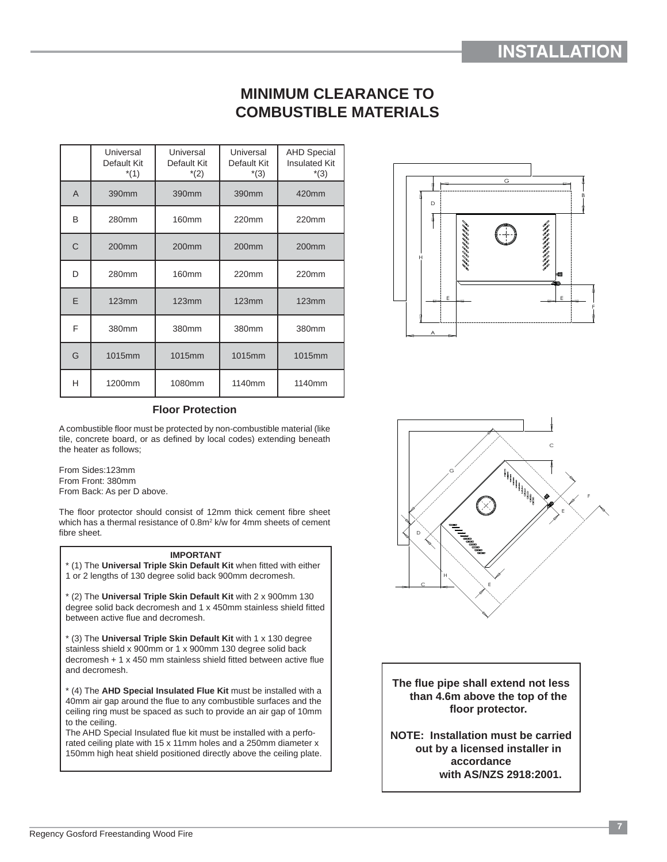### **MINIMUM CLEARANCE TO COMBUSTIBLE MATERIALS**

|   | Universal<br>Default Kit<br>$*(1)$ | Universal<br>Default Kit<br>$*(2)$ | Universal<br>Default Kit<br>$*(3)$ | <b>AHD Special</b><br><b>Insulated Kit</b><br>$*(3)$ |
|---|------------------------------------|------------------------------------|------------------------------------|------------------------------------------------------|
| A | 390mm                              | 390mm                              | 390mm                              | 420mm                                                |
| B | 280mm                              | 160mm                              | 220mm                              | 220mm                                                |
| C | 200mm                              | 200mm                              | 200mm                              | 200mm                                                |
| D | 280mm                              | 160mm                              | 220mm                              | 220mm                                                |
| E | 123mm                              | <b>123mm</b>                       | 123mm                              | 123mm                                                |
| F | 380mm                              | 380mm                              | 380mm                              | 380mm                                                |
| G | 1015mm                             | 1015mm                             | 1015mm                             | 1015mm                                               |
| н | 1200mm                             | 1080mm                             | 1140mm                             | 1140mm                                               |

#### **Floor Protection**

A combustible floor must be protected by non-combustible material (like tile, concrete board, or as defined by local codes) extending beneath the heater as follows;

From Sides:123mm From Front: 380mm From Back: As per D above.

The floor protector should consist of 12mm thick cement fibre sheet which has a thermal resistance of  $0.8m^2$  k/w for 4mm sheets of cement fihre sheet

#### **IMPORTANT**

\* (1) The Universal Triple Skin Default Kit when fitted with either 1 or 2 lengths of 130 degree solid back 900mm decromesh.

\* (2) The **Universal Triple Skin Default Kit** with 2 x 900mm 130 degree solid back decromesh and 1 x 450mm stainless shield fitted between active flue and decromesh.

\* (3) The **Universal Triple Skin Default Kit** with 1 x 130 degree stainless shield x 900mm or 1 x 900mm 130 degree solid back decromesh  $+1$  x 450 mm stainless shield fitted between active flue and decromesh.

\* (4) The **AHD Special Insulated Flue Kit** must be installed with a 40mm air gap around the flue to any combustible surfaces and the ceiling ring must be spaced as such to provide an air gap of 10mm to the ceiling.

The AHD Special Insulated flue kit must be installed with a perforated ceiling plate with 15 x 11mm holes and a 250mm diameter x 150mm high heat shield positioned directly above the ceiling plate.





**The fl ue pipe shall extend not less than 4.6m above the top of the fl oor protector.**

**NOTE: Installation must be carried out by a licensed installer in accordance with AS/NZS 2918:2001.**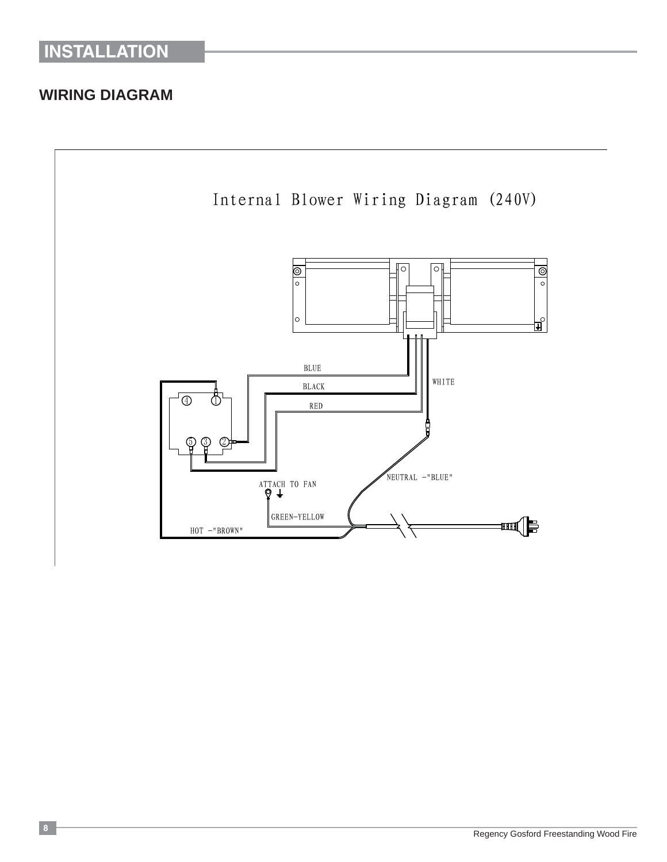### **WIRING DIAGRAM**

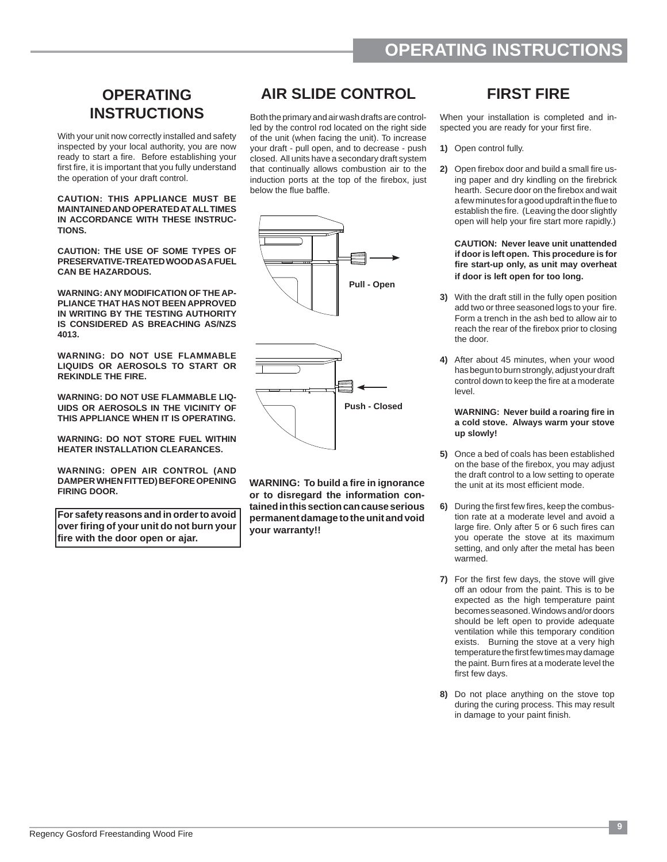Regency Gosford Freestanding Wood Fire

### **OPERATING INSTRUCTIONS**

With your unit now correctly installed and safety inspected by your local authority, you are now ready to start a fire. Before establishing your first fire, it is important that you fully understand the operation of your draft control.

**CAUTION: THIS APPLIANCE MUST BE MAINTAINED AND OPERATED AT ALL TIMES IN ACCORDANCE WITH THESE INSTRUC-TIONS.**

**CAUTION: THE USE OF SOME TYPES OF PRESERVATIVE-TREATED WOOD AS A FUEL CAN BE HAZARDOUS.**

**WARNING: ANY MODIFICATION OF THE AP-PLIANCE THAT HAS NOT BEEN APPROVED IN WRITING BY THE TESTING AUTHORITY IS CONSIDERED AS BREACHING AS/NZS 4013.**

**WARNING: DO NOT USE FLAMMABLE LIQUIDS OR AEROSOLS TO START OR REKINDLE THE FIRE.**

**WARNING: DO NOT USE FLAMMABLE LIQ-UIDS OR AEROSOLS IN THE VICINITY OF THIS APPLIANCE WHEN IT IS OPERATING.**

**WARNING: DO NOT STORE FUEL WITHIN HEATER INSTALLATION CLEARANCES.**

**WARNING: OPEN AIR CONTROL (AND DAMPER WHEN FITTED) BEFORE OPENING FIRING DOOR.**

**For safety reasons and in order to avoid over fi ring of your unit do not burn your**  fire with the door open or ajar.

### **AIR SLIDE CONTROL**

Both the primary and air wash drafts are controlled by the control rod located on the right side of the unit (when facing the unit). To increase your draft - pull open, and to decrease - push closed. All units have a secondary draft system that continually allows combustion air to the induction ports at the top of the firebox, just below the flue baffle.



**WARNING: To build a fi re in ignorance or to disregard the information contained in this section can cause serious permanent damage to the unit and void your warranty!!**

### **FIRST FIRE**

When your installation is completed and inspected you are ready for your first fire.

- **1)** Open control fully.
- **2)** Open firebox door and build a small fire using paper and dry kindling on the firebrick hearth. Secure door on the firebox and wait a few minutes for a good updraft in the flue to establish the fire. (Leaving the door slightly open will help your fire start more rapidly.)

**CAUTION: Never leave unit unattended if door is left open. This procedure is for fi re start-up only, as unit may overheat if door is left open for too long.**

- **3)** With the draft still in the fully open position add two or three seasoned logs to your fire. Form a trench in the ash bed to allow air to reach the rear of the firebox prior to closing the door.
- **4)** After about 45 minutes, when your wood has begun to burn strongly, adjust your draft control down to keep the fire at a moderate level.

**WARNING: Never build a roaring fire in a cold stove. Always warm your stove up slowly!**

- **5)** Once a bed of coals has been established on the base of the firebox, you may adjust the draft control to a low setting to operate the unit at its most efficient mode.
- **6)** During the first few fires, keep the combustion rate at a moderate level and avoid a large fire. Only after 5 or 6 such fires can you operate the stove at its maximum setting, and only after the metal has been warmed.
- **7)** For the first few days, the stove will give off an odour from the paint. This is to be expected as the high temperature paint becomes seasoned. Windows and/or doors should be left open to provide adequate ventilation while this temporary condition exists. Burning the stove at a very high temperature the first few times may damage the paint. Burn fires at a moderate level the first few days.
- **8)** Do not place anything on the stove top during the curing process. This may result in damage to your paint finish.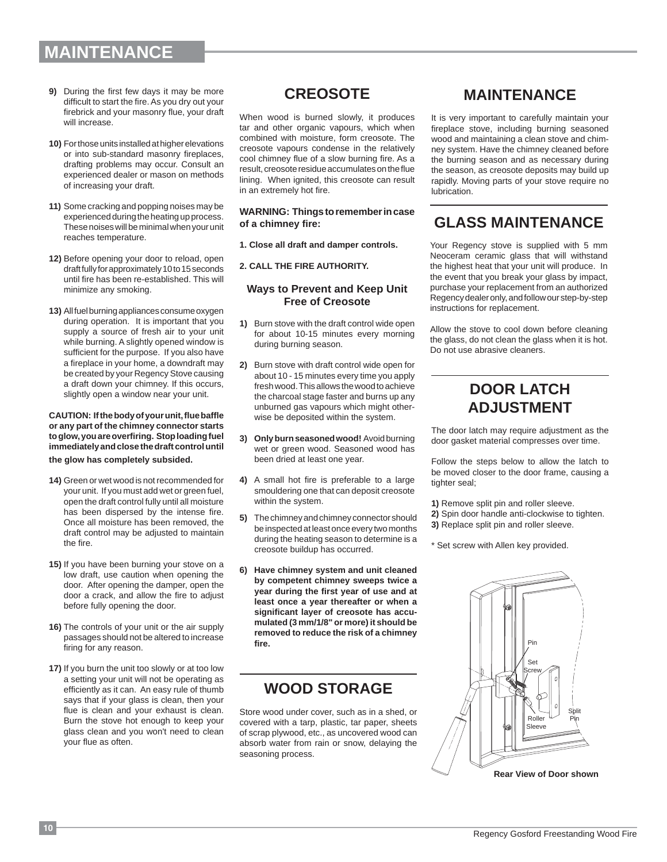### **MAINTENANCE**

- **9)** During the first few days it may be more difficult to start the fire. As you dry out your firebrick and your masonry flue, your draft will increase.
- **10)** For those units installed at higher elevations or into sub-standard masonry fireplaces, drafting problems may occur. Consult an experienced dealer or mason on methods of increasing your draft.
- **11)** Some cracking and popping noises may be experienced during the heating up process. These noises will be minimal when your unit reaches temperature.
- **12)** Before opening your door to reload, open draft fully for approximately 10 to 15 seconds until fire has been re-established. This will minimize any smoking.
- **13)** All fuel burning appliances consume oxygen during operation. It is important that you supply a source of fresh air to your unit while burning. A slightly opened window is sufficient for the purpose. If you also have a fireplace in your home, a downdraft may be created by your Regency Stove causing a draft down your chimney. If this occurs, slightly open a window near your unit.

#### **CAUTION: If the body of your unit, fl ue baffl e or any part of the chimney connector starts to glow, you are overfi ring. Stop loading fuel immediately and close the draft control until the glow has completely subsided.**

- **14)** Green or wet wood is not recommended for your unit. If you must add wet or green fuel, open the draft control fully until all moisture has been dispersed by the intense fire. Once all moisture has been removed, the draft control may be adjusted to maintain the fire
- **15)** If you have been burning your stove on a low draft, use caution when opening the door. After opening the damper, open the door a crack, and allow the fire to adjust before fully opening the door.
- **16)** The controls of your unit or the air supply passages should not be altered to increase firing for any reason.
- **17)** If you burn the unit too slowly or at too low a setting your unit will not be operating as efficiently as it can. An easy rule of thumb says that if your glass is clean, then your flue is clean and your exhaust is clean. Burn the stove hot enough to keep your glass clean and you won't need to clean your flue as often.

### **CREOSOTE**

When wood is burned slowly, it produces tar and other organic vapours, which when combined with moisture, form creosote. The creosote vapours condense in the relatively cool chimney flue of a slow burning fire. As a result, creosote residue accumulates on the flue lining. When ignited, this creosote can result in an extremely hot fire.

**WARNING: Things to remember in case of a chimney fi re:**

**1. Close all draft and damper controls.**

#### **2. CALL THE FIRE AUTHORITY.**

#### **Ways to Prevent and Keep Unit Free of Creosote**

- **1)** Burn stove with the draft control wide open for about 10-15 minutes every morning during burning season.
- **2)** Burn stove with draft control wide open for about 10 - 15 minutes every time you apply fresh wood. This allows the wood to achieve the charcoal stage faster and burns up any unburned gas vapours which might otherwise be deposited within the system.
- **3) Only burn seasoned wood!** Avoid burning wet or green wood. Seasoned wood has been dried at least one year.
- 4) A small hot fire is preferable to a large smouldering one that can deposit creosote within the system.
- **5)** The chimney and chimney connector should be inspected at least once every two months during the heating season to determine is a creosote buildup has occurred.
- **6) Have chimney system and unit cleaned by competent chimney sweeps twice a year during the fi rst year of use and at least once a year thereafter or when a signifi cant layer of creosote has accumulated (3 mm/1/8" or more) it should be removed to reduce the risk of a chimney fi re.**

### **WOOD STORAGE**

Store wood under cover, such as in a shed, or covered with a tarp, plastic, tar paper, sheets of scrap plywood, etc., as uncovered wood can absorb water from rain or snow, delaying the seasoning process.

### **MAINTENANCE**

It is very important to carefully maintain your fireplace stove, including burning seasoned wood and maintaining a clean stove and chimney system. Have the chimney cleaned before the burning season and as necessary during the season, as creosote deposits may build up rapidly. Moving parts of your stove require no lubrication.

### **GLASS MAINTENANCE**

Your Regency stove is supplied with 5 mm Neoceram ceramic glass that will withstand the highest heat that your unit will produce. In the event that you break your glass by impact, purchase your replacement from an authorized Regency dealer only, and follow our step-by-step instructions for replacement.

Allow the stove to cool down before cleaning the glass, do not clean the glass when it is hot. Do not use abrasive cleaners.

### **DOOR LATCH ADJUSTMENT**

The door latch may require adjustment as the door gasket material compresses over time.

Follow the steps below to allow the latch to be moved closer to the door frame, causing a tighter seal;

**1)** Remove split pin and roller sleeve.

- **2)** Spin door handle anti-clockwise to tighten.
- **3)** Replace split pin and roller sleeve.
- \* Set screw with Allen key provided.

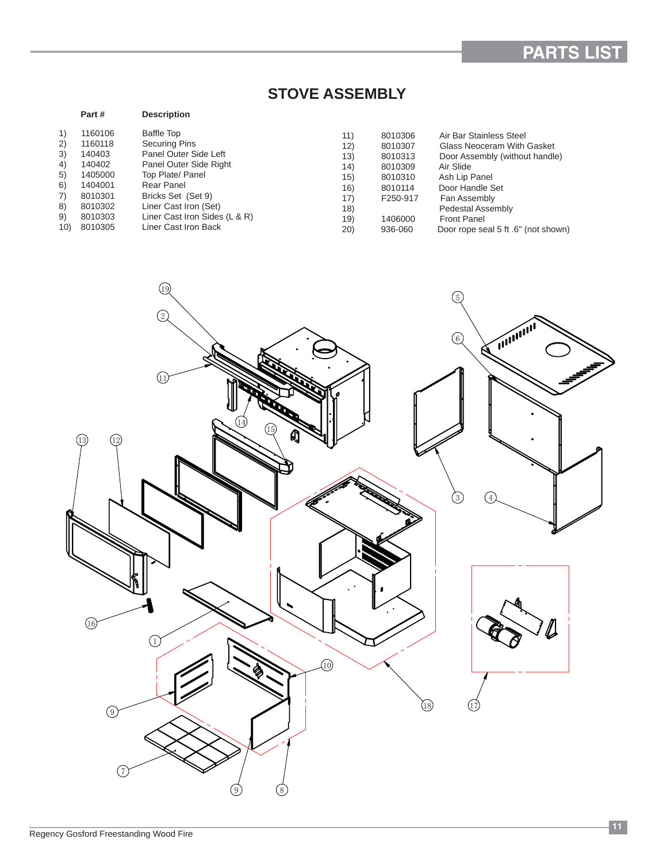## **STOVE ASSEMBLY**

|     | Part#   | <b>Description</b>            |      |          |                                     |
|-----|---------|-------------------------------|------|----------|-------------------------------------|
| 1)  | 1160106 | Baffle Top                    | 11)  | 8010306  | Air Bar Stainless Steel             |
| 2)  | 1160118 | <b>Securing Pins</b>          | 12)  | 8010307  | <b>Glass Neoceram With Gasket</b>   |
| 3)  | 140403  | Panel Outer Side Left         | 13)  | 8010313  | Door Assembly (without handle)      |
| 4)  | 140402  | Panel Outer Side Right        | (14) | 8010309  | Air Slide                           |
| 5)  | 1405000 | Top Plate/ Panel              | 15)  | 8010310  | Ash Lip Panel                       |
| 6)  | 1404001 | <b>Rear Panel</b>             | 16)  | 8010114  | Door Handle Set                     |
| 7)  | 8010301 | Bricks Set (Set 9)            | 17)  | F250-917 | Fan Assembly                        |
| 8)  | 8010302 | Liner Cast Iron (Set)         | 18)  |          | Pedestal Assembly                   |
| 9)  | 8010303 | Liner Cast Iron Sides (L & R) | 19)  | 1406000  | <b>Front Panel</b>                  |
| 10) | 8010305 | Liner Cast Iron Back          | 20)  | 936-060  | Door rope seal 5 ft .6" (not shown) |
|     |         |                               |      |          |                                     |

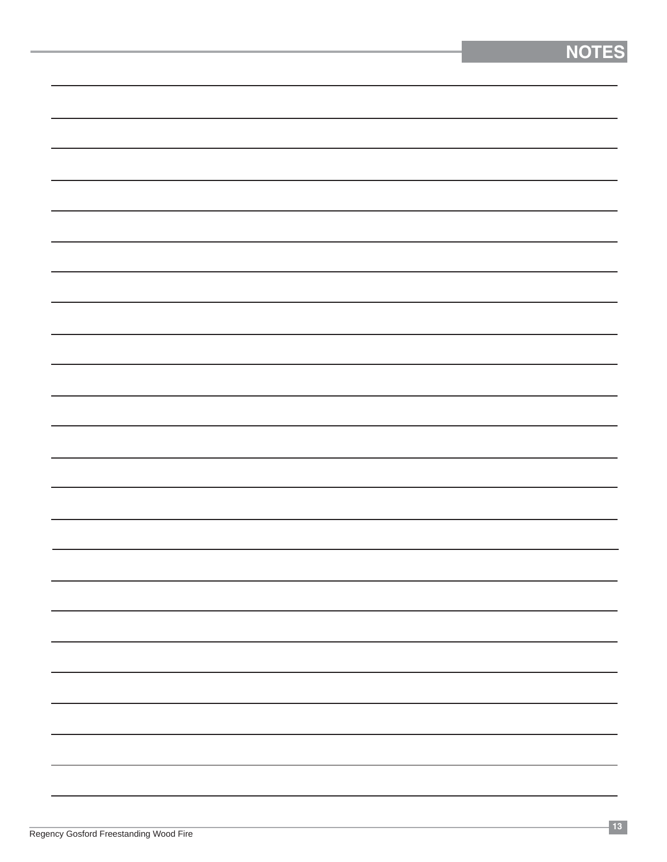| u s |
|-----|
|     |
|     |
|     |
|     |
|     |
|     |
|     |
|     |
|     |
|     |
|     |
|     |
|     |
|     |
|     |
|     |
|     |
|     |
|     |
|     |
|     |
|     |
|     |
|     |
|     |
|     |
|     |
|     |
|     |
|     |
| -   |
|     |
|     |
|     |
| ۰   |
|     |
| -   |
|     |
|     |
|     |
|     |
| ۰   |
|     |
|     |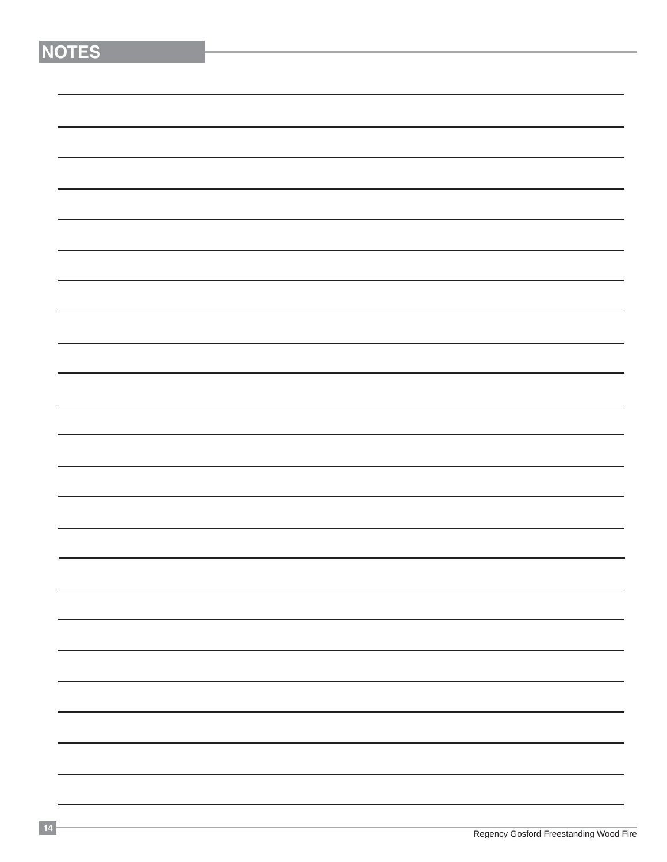| - |
|---|
|---|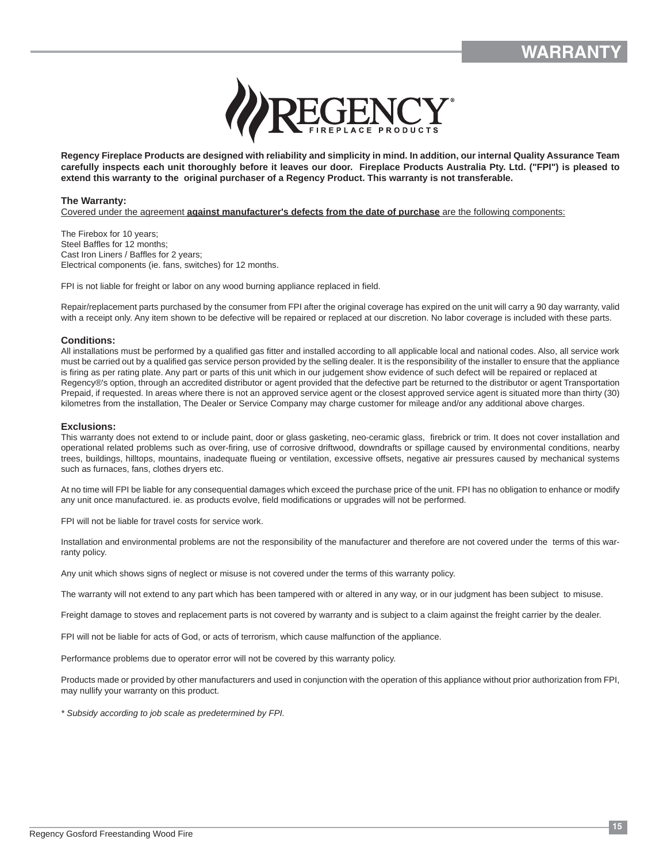

**Regency Fireplace Products are designed with reliability and simplicity in mind. In addition, our internal Quality Assurance Team carefully inspects each unit thoroughly before it leaves our door. Fireplace Products Australia Pty. Ltd. ("FPI") is pleased to extend this warranty to the original purchaser of a Regency Product. This warranty is not transferable.**

#### **The Warranty:**

Covered under the agreement **against manufacturer's defects from the date of purchase** are the following components:

The Firebox for 10 years; Steel Baffles for 12 months; Cast Iron Liners / Baffles for 2 years; Electrical components (ie. fans, switches) for 12 months.

FPI is not liable for freight or labor on any wood burning appliance replaced in field.

Repair/replacement parts purchased by the consumer from FPI after the original coverage has expired on the unit will carry a 90 day warranty, valid with a receipt only. Any item shown to be defective will be repaired or replaced at our discretion. No labor coverage is included with these parts.

#### **Conditions:**

All installations must be performed by a qualified gas fitter and installed according to all applicable local and national codes. Also, all service work must be carried out by a qualified gas service person provided by the selling dealer. It is the responsibility of the installer to ensure that the appliance is firing as per rating plate. Any part or parts of this unit which in our judgement show evidence of such defect will be repaired or replaced at Regency®'s option, through an accredited distributor or agent provided that the defective part be returned to the distributor or agent Transportation Prepaid, if requested. In areas where there is not an approved service agent or the closest approved service agent is situated more than thirty (30) kilometres from the installation, The Dealer or Service Company may charge customer for mileage and/or any additional above charges.

#### **Exclusions:**

This warranty does not extend to or include paint, door or glass gasketing, neo-ceramic glass, firebrick or trim. It does not cover installation and operational related problems such as over-firing, use of corrosive driftwood, downdrafts or spillage caused by environmental conditions, nearby trees, buildings, hilltops, mountains, inadequate flueing or ventilation, excessive offsets, negative air pressures caused by mechanical systems such as furnaces, fans, clothes dryers etc.

At no time will FPI be liable for any consequential damages which exceed the purchase price of the unit. FPI has no obligation to enhance or modify any unit once manufactured. ie. as products evolve, field modifications or upgrades will not be performed.

FPI will not be liable for travel costs for service work.

Installation and environmental problems are not the responsibility of the manufacturer and therefore are not covered under the terms of this warranty policy.

Any unit which shows signs of neglect or misuse is not covered under the terms of this warranty policy.

The warranty will not extend to any part which has been tampered with or altered in any way, or in our judgment has been subject to misuse.

Freight damage to stoves and replacement parts is not covered by warranty and is subject to a claim against the freight carrier by the dealer.

FPI will not be liable for acts of God, or acts of terrorism, which cause malfunction of the appliance.

Performance problems due to operator error will not be covered by this warranty policy.

Products made or provided by other manufacturers and used in conjunction with the operation of this appliance without prior authorization from FPI, may nullify your warranty on this product.

*\* Subsidy according to job scale as predetermined by FPI.*